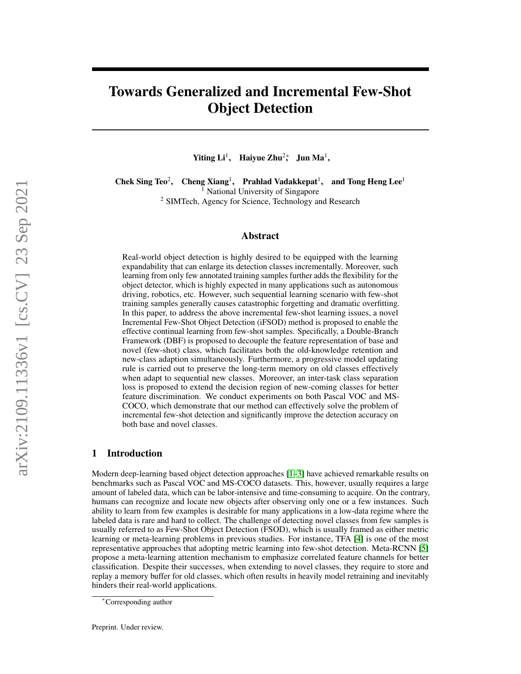# Towards Generalized and Incremental Few-Shot Object Detection

Yiting  $Li<sup>1</sup>$ , Haiyue Zhu<sup>2</sup>; Jun Ma<sup>1</sup>,

Chek Sing Teo<sup>2</sup>, , Cheng Xiang<sup>1</sup>, Prahlad Vadakkepat<sup>1</sup>, and Tong Heng Lee<sup>1</sup> <sup>1</sup> National University of Singapore

<sup>2</sup> SIMTech, Agency for Science, Technology and Research

## Abstract

Real-world object detection is highly desired to be equipped with the learning expandability that can enlarge its detection classes incrementally. Moreover, such learning from only few annotated training samples further adds the flexibility for the object detector, which is highly expected in many applications such as autonomous driving, robotics, etc. However, such sequential learning scenario with few-shot training samples generally causes catastrophic forgetting and dramatic overfitting. In this paper, to address the above incremental few-shot learning issues, a novel Incremental Few-Shot Object Detection (iFSOD) method is proposed to enable the effective continual learning from few-shot samples. Specifically, a Double-Branch Framework (DBF) is proposed to decouple the feature representation of base and novel (few-shot) class, which facilitates both the old-knowledge retention and new-class adaption simultaneously. Furthermore, a progressive model updating rule is carried out to preserve the long-term memory on old classes effectively when adapt to sequential new classes. Moreover, an inter-task class separation loss is proposed to extend the decision region of new-coming classes for better feature discrimination. We conduct experiments on both Pascal VOC and MS-COCO, which demonstrate that our method can effectively solve the problem of incremental few-shot detection and significantly improve the detection accuracy on both base and novel classes.

## 1 Introduction

Modern deep-learning based object detection approaches [\[1–](#page-9-0)[3\]](#page-10-0) have achieved remarkable results on benchmarks such as Pascal VOC and MS-COCO datasets. This, however, usually requires a large amount of labeled data, which can be labor-intensive and time-consuming to acquire. On the contrary, humans can recognize and locate new objects after observing only one or a few instances. Such ability to learn from few examples is desirable for many applications in a low-data regime where the labeled data is rare and hard to collect. The challenge of detecting novel classes from few samples is usually referred to as Few-Shot Object Detection (FSOD), which is usually framed as either metric learning or meta-learning problems in previous studies. For instance, TFA [\[4\]](#page-10-1) is one of the most representative approaches that adopting metric learning into few-shot detection. Meta-RCNN [\[5\]](#page-10-2) propose a meta-learning attention mechanism to emphasize correlated feature channels for better classification. Despite their successes, when extending to novel classes, they require to store and replay a memory buffer for old classes, which often results in heavily model retraining and inevitably hinders their real-world applications.

<sup>∗</sup>Corresponding author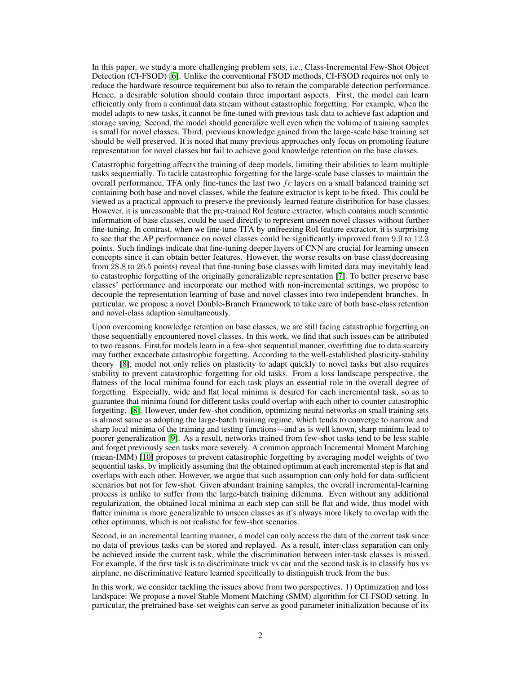In this paper, we study a more challenging problem sets, i.e., Class-Incremental Few-Shot Object Detection (CI-FSOD) [\[6\]](#page-10-3). Unlike the conventional FSOD methods, CI-FSOD requires not only to reduce the hardware resource requirement but also to retain the comparable detection performance. Hence, a desirable solution should contain three important aspects. First, the model can learn efficiently only from a continual data stream without catastrophic forgetting. For example, when the model adapts to new tasks, it cannot be fine-tuned with previous task data to achieve fast adaption and storage saving. Second, the model should generalize well even when the volume of training samples is small for novel classes. Third, previous knowledge gained from the large-scale base training set should be well preserved. It is noted that many previous approaches only focus on promoting feature representation for novel classes but fail to achieve good knowledge retention on the base classes.

Catastrophic forgetting affects the training of deep models, limiting their abilities to learn multiple tasks sequentially. To tackle catastrophic forgetting for the large-scale base classes to maintain the overall performance, TFA only fine-tunes the last two  $fc$  layers on a small balanced training set containing both base and novel classes, while the feature extractor is kept to be fixed. This could be viewed as a practical approach to preserve the previously learned feature distribution for base classes. However, it is unreasonable that the pre-trained RoI feature extractor, which contains much semantic information of base classes, could be used directly to represent unseen novel classes without further fine-tuning. In contrast, when we fine-tune TFA by unfreezing RoI feature extractor, it is surprising to see that the AP performance on novel classes could be significantly improved from 9.9 to 12.3 points. Such findings indicate that fine-tuning deeper layers of CNN are crucial for learning unseen concepts since it can obtain better features. However, the worse results on base class(decreasing from 28.8 to 26.5 points) reveal that fine-tuning base classes with limited data may inevitably lead to catastrophic forgetting of the originally generalizable representation [\[7\]](#page-10-4). To better preserve base classes' performance and incorporate our method with non-incremental settings, we propose to decouple the representation learning of base and novel classes into two independent branches. In particular, we propose a novel Double-Branch Framework to take care of both base-class retention and novel-class adaption simultaneously.

Upon overcoming knowledge retention on base classes, we are still facing catastrophic forgetting on those sequentially encountered novel classes. In this work, we find that such issues can be attributed to two reasons. First,for models learn in a few-shot sequential manner, overfitting due to data scarcity may further exacerbate catastrophic forgetting. According to the well-established plasticity-stability theory [\[8\]](#page-10-5), model not only relies on plasticity to adapt quickly to novel tasks but also requires stability to prevent catastrophic forgetting for old tasks. From a loss landscape perspective, the flatness of the local minima found for each task plays an essential role in the overall degree of forgetting. Especially, wide and flat local minima is desired for each incremental task, so as to guarantee that minima found for different tasks could overlap with each other to counter catastrophic forgetting, [\[8\]](#page-10-5). However, under few-shot condition, optimizing neural networks on small training sets is almost same as adopting the large-batch training regime, which tends to converge to narrow and sharp local minima of the training and testing functions—and as is well known, sharp minima lead to poorer generalization [\[9\]](#page-10-6). As a result, networks trained from few-shot tasks tend to be less stable and forget previously seen tasks more severely. A common approach Incremental Moment Matching (mean-IMM) [\[10\]](#page-10-7) proposes to prevent catastrophic forgetting by averaging model weights of two sequential tasks, by implicitly assuming that the obtained optimum at each incremental step is flat and overlaps with each other. However, we argue that such assumption can only hold for data-sufficient scenarios but not for few-shot. Given abundant training samples, the overall incremental-learning process is unlike to suffer from the large-batch training dilemma. Even without any additional regularization, the obtained local minima at each step can still be flat and wide, thus model with flatter minima is more generalizable to unseen classes as it's always more likely to overlap with the other optimums, which is not realistic for few-shot scenarios.

Second, in an incremental learning manner, a model can only access the data of the current task since no data of previous tasks can be stored and replayed. As a result, inter-class separation can only be achieved inside the current task, while the discrimination between inter-task classes is missed. For example, if the first task is to discriminate truck vs car and the second task is to classify bus vs airplane, no discriminative feature learned specifically to distinguish truck from the bus.

In this work, we consider tackling the issues above from two perspectives. 1) Optimization and loss landspace: We propose a novel Stable Moment Matching (SMM) algorithm for CI-FSOD setting. In particular, the pretrained base-set weights can serve as good parameter initialization because of its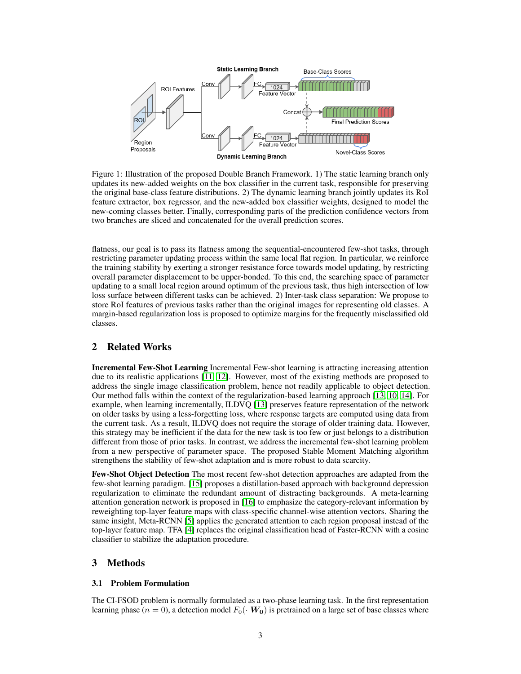<span id="page-2-0"></span>

Figure 1: Illustration of the proposed Double Branch Framework. 1) The static learning branch only updates its new-added weights on the box classifier in the current task, responsible for preserving the original base-class feature distributions. 2) The dynamic learning branch jointly updates its RoI feature extractor, box regressor, and the new-added box classifier weights, designed to model the new-coming classes better. Finally, corresponding parts of the prediction confidence vectors from two branches are sliced and concatenated for the overall prediction scores.

flatness, our goal is to pass its flatness among the sequential-encountered few-shot tasks, through restricting parameter updating process within the same local flat region. In particular, we reinforce the training stability by exerting a stronger resistance force towards model updating, by restricting overall parameter displacement to be upper-bonded. To this end, the searching space of parameter updating to a small local region around optimum of the previous task, thus high intersection of low loss surface between different tasks can be achieved. 2) Inter-task class separation: We propose to store RoI features of previous tasks rather than the original images for representing old classes. A margin-based regularization loss is proposed to optimize margins for the frequently misclassified old classes.

# 2 Related Works

Incremental Few-Shot Learning Incremental Few-shot learning is attracting increasing attention due to its realistic applications [\[11,](#page-10-8) [12\]](#page-10-9). However, most of the existing methods are proposed to address the single image classification problem, hence not readily applicable to object detection. Our method falls within the context of the regularization-based learning approach [\[13,](#page-10-10) [10,](#page-10-7) [14\]](#page-10-11). For example, when learning incrementally, ILDVQ [\[13\]](#page-10-10) preserves feature representation of the network on older tasks by using a less-forgetting loss, where response targets are computed using data from the current task. As a result, ILDVQ does not require the storage of older training data. However, this strategy may be inefficient if the data for the new task is too few or just belongs to a distribution different from those of prior tasks. In contrast, we address the incremental few-shot learning problem from a new perspective of parameter space. The proposed Stable Moment Matching algorithm strengthens the stability of few-shot adaptation and is more robust to data scarcity.

Few-Shot Object Detection The most recent few-shot detection approaches are adapted from the few-shot learning paradigm. [\[15\]](#page-10-12) proposes a distillation-based approach with background depression regularization to eliminate the redundant amount of distracting backgrounds. A meta-learning attention generation network is proposed in [\[16\]](#page-10-13) to emphasize the category-relevant information by reweighting top-layer feature maps with class-specific channel-wise attention vectors. Sharing the same insight, Meta-RCNN [\[5\]](#page-10-2) applies the generated attention to each region proposal instead of the top-layer feature map. TFA [\[4\]](#page-10-1) replaces the original classification head of Faster-RCNN with a cosine classifier to stabilize the adaptation procedure.

## 3 Methods

#### 3.1 Problem Formulation

The CI-FSOD problem is normally formulated as a two-phase learning task. In the first representation learning phase ( $n = 0$ ), a detection model  $F_0(\cdot|W_0)$  is pretrained on a large set of base classes where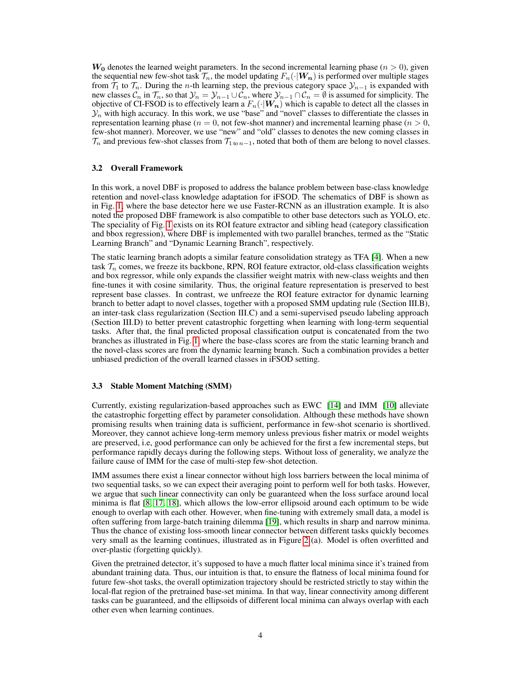$W_0$  denotes the learned weight parameters. In the second incremental learning phase  $(n > 0)$ , given the sequential new few-shot task  $\mathcal{T}_n$ , the model updating  $F_n(\cdot|\boldsymbol{W_n})$  is performed over multiple stages from  $\mathcal{T}_1$  to  $\mathcal{T}_n$ . During the *n*-th learning step, the previous category space  $\mathcal{Y}_{n-1}$  is expanded with new classes  $C_n$  in  $\mathcal{T}_n$ , so that  $\mathcal{Y}_n = \mathcal{Y}_{n-1} \cup \mathcal{C}_n$ , where  $\mathcal{Y}_{n-1} \cap \mathcal{C}_n = \emptyset$  is assumed for simplicity. The objective of CI-FSOD is to effectively learn a  $F_n(\cdot|W_n)$  which is capable to detect all the classes in  $\mathcal{Y}_n$  with high accuracy. In this work, we use "base" and "novel" classes to differentiate the classes in representation learning phase ( $n = 0$ , not few-shot manner) and incremental learning phase ( $n > 0$ , few-shot manner). Moreover, we use "new" and "old" classes to denotes the new coming classes in  $\mathcal{T}_n$  and previous few-shot classes from  $\mathcal{T}_{1 \text{ to } n-1}$ , noted that both of them are belong to novel classes.

#### 3.2 Overall Framework

In this work, a novel DBF is proposed to address the balance problem between base-class knowledge retention and novel-class knowledge adaptation for iFSOD. The schematics of DBF is shown as in Fig. [1,](#page-2-0) where the base detector here we use Faster-RCNN as an illustration example. It is also noted the proposed DBF framework is also compatible to other base detectors such as YOLO, etc. The speciality of Fig. [1](#page-2-0) exists on its ROI feature extractor and sibling head (category classification and bbox regression), where DBF is implemented with two parallel branches, termed as the "Static Learning Branch" and "Dynamic Learning Branch", respectively.

The static learning branch adopts a similar feature consolidation strategy as TFA [\[4\]](#page-10-1). When a new task  $\mathcal{T}_n$  comes, we freeze its backbone, RPN, ROI feature extractor, old-class classification weights and box regressor, while only expands the classifier weight matrix with new-class weights and then fine-tunes it with cosine similarity. Thus, the original feature representation is preserved to best represent base classes. In contrast, we unfreeze the ROI feature extractor for dynamic learning branch to better adapt to novel classes, together with a proposed SMM updating rule (Section III.B), an inter-task class regularization (Section III.C) and a semi-supervised pseudo labeling approach (Section III.D) to better prevent catastrophic forgetting when learning with long-term sequential tasks. After that, the final predicted proposal classification output is concatenated from the two branches as illustrated in Fig. [1,](#page-2-0) where the base-class scores are from the static learning branch and the novel-class scores are from the dynamic learning branch. Such a combination provides a better unbiased prediction of the overall learned classes in iFSOD setting.

#### 3.3 Stable Moment Matching (SMM)

Currently, existing regularization-based approaches such as EWC [\[14\]](#page-10-11) and IMM [\[10\]](#page-10-7) alleviate the catastrophic forgetting effect by parameter consolidation. Although these methods have shown promising results when training data is sufficient, performance in few-shot scenario is shortlived. Moreover, they cannot achieve long-term memory unless previous fisher matrix or model weights are preserved, i.e, good performance can only be achieved for the first a few incremental steps, but performance rapidly decays during the following steps. Without loss of generality, we analyze the failure cause of IMM for the case of multi-step few-shot detection.

IMM assumes there exist a linear connector without high loss barriers between the local minima of two sequential tasks, so we can expect their averaging point to perform well for both tasks. However, we argue that such linear connectivity can only be guaranteed when the loss surface around local minima is flat [\[8,](#page-10-5) [17,](#page-10-14) [18\]](#page-10-15), which allows the low-error ellipsoid around each optimum to be wide enough to overlap with each other. However, when fine-tuning with extremely small data, a model is often suffering from large-batch training dilemma [\[19\]](#page-10-16), which results in sharp and narrow minima. Thus the chance of existing loss-smooth linear connector between different tasks quickly becomes very small as the learning continues, illustrated as in Figure [2](#page-4-0) (a). Model is often overfitted and over-plastic (forgetting quickly).

Given the pretrained detector, it's supposed to have a much flatter local minima since it's trained from abundant training data. Thus, our intuition is that, to ensure the flatness of local minima found for future few-shot tasks, the overall optimization trajectory should be restricted strictly to stay within the local-flat region of the pretrained base-set minima. In that way, linear connectivity among different tasks can be guaranteed, and the ellipsoids of different local minima can always overlap with each other even when learning continues.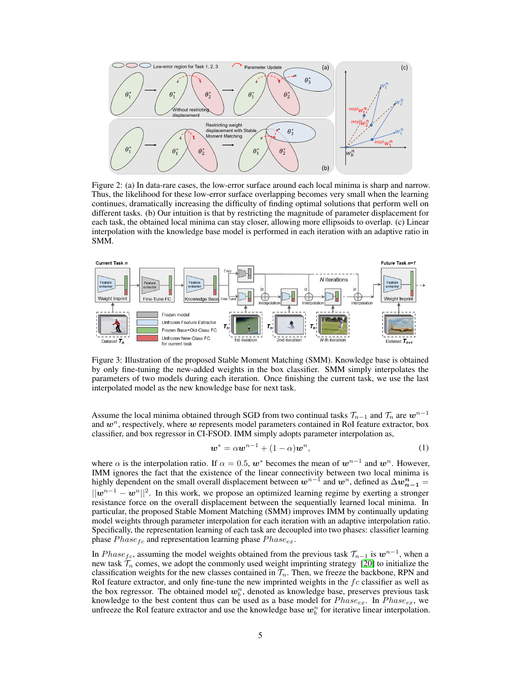<span id="page-4-0"></span>

Figure 2: (a) In data-rare cases, the low-error surface around each local minima is sharp and narrow. Thus, the likelihood for these low-error surface overlapping becomes very small when the learning continues, dramatically increasing the difficulty of finding optimal solutions that perform well on different tasks. (b) Our intuition is that by restricting the magnitude of parameter displacement for each task, the obtained local minima can stay closer, allowing more ellipsoids to overlap. (c) Linear interpolation with the knowledge base model is performed in each iteration with an adaptive ratio in SMM.

<span id="page-4-1"></span>

Figure 3: Illustration of the proposed Stable Moment Matching (SMM). Knowledge base is obtained by only fine-tuning the new-added weights in the box classifier. SMM simply interpolates the parameters of two models during each iteration. Once finishing the current task, we use the last interpolated model as the new knowledge base for next task.

Assume the local minima obtained through SGD from two continual tasks  $\mathcal{T}_{n-1}$  and  $\mathcal{T}_n$  are  $w^{n-1}$ and  $w<sup>n</sup>$ , respectively, where w represents model parameters contained in RoI feature extractor, box classifier, and box regressor in CI-FSOD. IMM simply adopts parameter interpolation as,

$$
\mathbf{w}^* = \alpha \mathbf{w}^{n-1} + (1 - \alpha)\mathbf{w}^n, \tag{1}
$$

where  $\alpha$  is the interpolation ratio. If  $\alpha = 0.5$ ,  $w^*$  becomes the mean of  $w^{n-1}$  and  $w^n$ . However, IMM ignores the fact that the existence of the linear connectivity between two local minima is highly dependent on the small overall displacement between  $w^{n-1}$  and  $w^n$ , defined as  $\Delta w_{n-1}^n =$  $||w^{n-1} - w^n||^2$ . In this work, we propose an optimized learning regime by exerting a stronger resistance force on the overall displacement between the sequentially learned local minima. In particular, the proposed Stable Moment Matching (SMM) improves IMM by continually updating model weights through parameter interpolation for each iteration with an adaptive interpolation ratio. Specifically, the representation learning of each task are decoupled into two phases: classifier learning phase  $Phase_{fc}$  and representation learning phase  $Phase_{ex}$ .

In  $Phase_{fc}$ , assuming the model weights obtained from the previous task  $\mathcal{T}_{n-1}$  is  $w^{n-1}$ , when a new task  $\mathcal{T}_n$  comes, we adopt the commonly used weight imprinting strategy [\[20\]](#page-10-17) to initialize the classification weights for the new classes contained in  $\mathcal{T}_n$ . Then, we freeze the backbone, RPN and RoI feature extractor, and only fine-tune the new imprinted weights in the  $fc$  classifier as well as the box regressor. The obtained model  $w_b^n$ , denoted as knowledge base, preserves previous task knowledge to the best content thus can be used as a base model for  $Phase_{ex}$ . In  $Phase_{ex}$ , we unfreeze the RoI feature extractor and use the knowledge base  $w_b^n$  for iterative linear interpolation.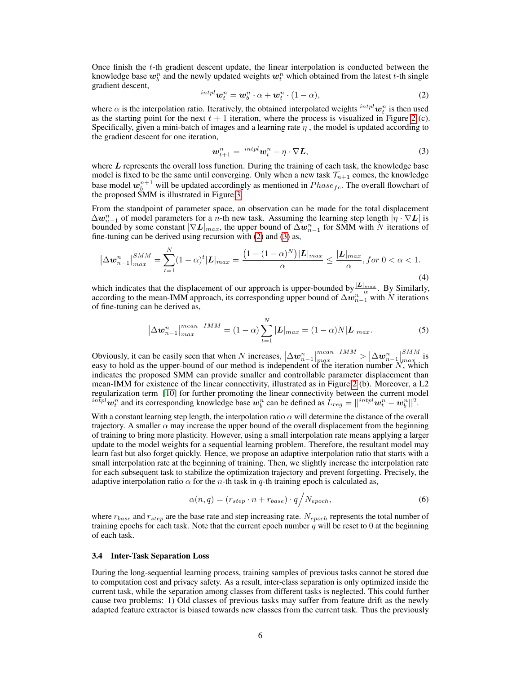Once finish the t-th gradient descent update, the linear interpolation is conducted between the knowledge base  $w_b^n$  and the newly updated weights  $w_t^n$  which obtained from the latest t-th single gradient descent,

<span id="page-5-0"></span>
$$
{}^{intpl}\mathbf{w}_t^n = \mathbf{w}_b^n \cdot \alpha + \mathbf{w}_t^n \cdot (1 - \alpha), \tag{2}
$$

where  $\alpha$  is the interpolation ratio. Iteratively, the obtained interpolated weights  $^{intpl}w_t^n$  is then used as the starting point for the next  $t + 1$  iteration, where the process is visualized in Figure [2](#page-4-0) (c). Specifically, given a mini-batch of images and a learning rate  $\eta$ , the model is updated according to the gradient descent for one iteration,

<span id="page-5-1"></span>
$$
\boldsymbol{w}_{t+1}^n = {^{intpl}} \boldsymbol{w}_t^n - \eta \cdot \nabla \boldsymbol{L}, \tag{3}
$$

where  $L$  represents the overall loss function. During the training of each task, the knowledge base model is fixed to be the same until converging. Only when a new task  $\mathcal{T}_{n+1}$  comes, the knowledge base model  $w_b^{n+1}$  will be updated accordingly as mentioned in  $Phase_{fc}$ . The overall flowchart of the proposed SMM is illustrated in Figure [3.](#page-4-1)

From the standpoint of parameter space, an observation can be made for the total displacement  $\Delta w_{n-1}^n$  of model parameters for a n-th new task. Assuming the learning step length  $|\eta \cdot \nabla L|$  is bounded by some constant  $|\nabla L|_{max}$ , the upper bound of  $\Delta \bm{w}_{n-1}^n$  for SMM with  $N$  iterations of fine-tuning can be derived using recursion with [\(2\)](#page-5-0) and [\(3\)](#page-5-1) as,

$$
|\Delta w_{n-1}^n|_{max}^{SMM} = \sum_{t=1}^N (1-\alpha)^t |L|_{max} = \frac{(1 - (1-\alpha)^N)|L|_{max}}{\alpha} \le \frac{|L|_{max}}{\alpha}, \text{ for } 0 < \alpha < 1. \tag{4}
$$

which indicates that the displacement of our approach is upper-bounded by  $\frac{|L|_{max}}{\alpha}$ . By Similarly, according to the mean-IMM approach, its corresponding upper bound of  $\Delta w_{n-1}^n$  with N iterations of fine-tuning can be derived as,

$$
\left|\Delta w_{n-1}^{n}\right|_{max}^{mean-IMM} = (1-\alpha) \sum_{t=1}^{N} |L|_{max} = (1-\alpha)N|L|_{max}.
$$
 (5)

Obviously, it can be easily seen that when N increases,  $\left|\Delta w_{n-1}^n\right|_{max}^{mean-IMM} > \left|\Delta w_{n-1}^n\right|$ SMM  $\sum_{max}$  is easy to hold as the upper-bound of our method is independent of the iteration number  $N$ , which indicates the proposed SMM can provide smaller and controllable parameter displacement than mean-IMM for existence of the linear connectivity, illustrated as in Figure [2](#page-4-0) (b). Moreover, a L2 regularization term [\[10\]](#page-10-7) for further promoting the linear connectivity between the current model  $\tilde{u}^{in\bar{t}pl}$   $w_t^n$  and its corresponding knowledge base  $w_b^n$  can be defined as  $\tilde{L}_{reg} = ||^{intpl} w_t^n - w_b^n||^2$ .

With a constant learning step length, the interpolation ratio  $\alpha$  will determine the distance of the overall trajectory. A smaller  $\alpha$  may increase the upper bound of the overall displacement from the beginning of training to bring more plasticity. However, using a small interpolation rate means applying a larger update to the model weights for a sequential learning problem. Therefore, the resultant model may learn fast but also forget quickly. Hence, we propose an adaptive interpolation ratio that starts with a small interpolation rate at the beginning of training. Then, we slightly increase the interpolation rate for each subsequent task to stabilize the optimization trajectory and prevent forgetting. Precisely, the adaptive interpolation ratio  $\alpha$  for the *n*-th task in *q*-th training epoch is calculated as,

$$
\alpha(n,q) = (r_{step} \cdot n + r_{base}) \cdot q / N_{epoch},\tag{6}
$$

where  $r_{base}$  and  $r_{step}$  are the base rate and step increasing rate.  $N_{epoch}$  represents the total number of training epochs for each task. Note that the current epoch number  $\hat{q}$  will be reset to 0 at the beginning of each task.

#### 3.4 Inter-Task Separation Loss

During the long-sequential learning process, training samples of previous tasks cannot be stored due to computation cost and privacy safety. As a result, inter-class separation is only optimized inside the current task, while the separation among classes from different tasks is neglected. This could further cause two problems: 1) Old classes of previous tasks may suffer from feature drift as the newly adapted feature extractor is biased towards new classes from the current task. Thus the previously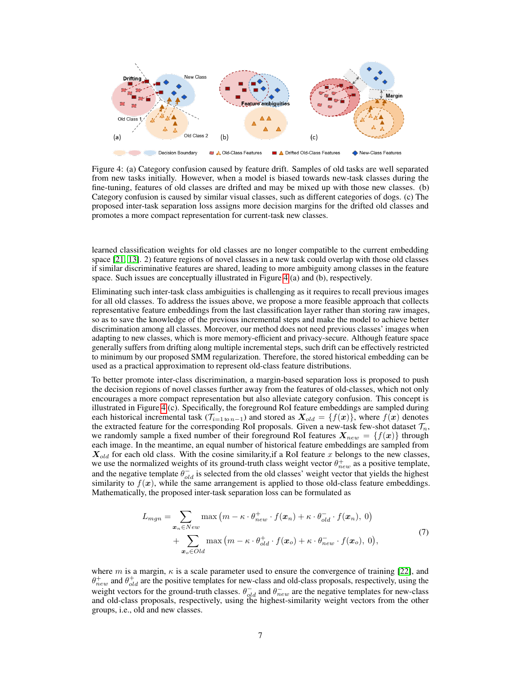<span id="page-6-0"></span>

Figure 4: (a) Category confusion caused by feature drift. Samples of old tasks are well separated from new tasks initially. However, when a model is biased towards new-task classes during the fine-tuning, features of old classes are drifted and may be mixed up with those new classes. (b) Category confusion is caused by similar visual classes, such as different categories of dogs. (c) The proposed inter-task separation loss assigns more decision margins for the drifted old classes and promotes a more compact representation for current-task new classes.

learned classification weights for old classes are no longer compatible to the current embedding space [\[21,](#page-10-18) [13\]](#page-10-10). 2) feature regions of novel classes in a new task could overlap with those old classes if similar discriminative features are shared, leading to more ambiguity among classes in the feature space. Such issues are conceptually illustrated in Figure [4](#page-6-0) (a) and (b), respectively.

Eliminating such inter-task class ambiguities is challenging as it requires to recall previous images for all old classes. To address the issues above, we propose a more feasible approach that collects representative feature embeddings from the last classification layer rather than storing raw images, so as to save the knowledge of the previous incremental steps and make the model to achieve better discrimination among all classes. Moreover, our method does not need previous classes' images when adapting to new classes, which is more memory-efficient and privacy-secure. Although feature space generally suffers from drifting along multiple incremental steps, such drift can be effectively restricted to minimum by our proposed SMM regularization. Therefore, the stored historical embedding can be used as a practical approximation to represent old-class feature distributions.

To better promote inter-class discrimination, a margin-based separation loss is proposed to push the decision regions of novel classes further away from the features of old-classes, which not only encourages a more compact representation but also alleviate category confusion. This concept is illustrated in Figure [4](#page-6-0) (c). Specifically, the foreground RoI feature embeddings are sampled during each historical incremental task ( $\mathcal{T}_{i=1 \text{ to } n-1}$ ) and stored as  $\mathbf{X}_{old} = \{f(\mathbf{x})\}$ , where  $f(\mathbf{x})$  denotes the extracted feature for the corresponding RoI proposals. Given a new-task few-shot dataset  $\mathcal{T}_n$ , we randomly sample a fixed number of their foreground RoI features  $X_{new} = \{f(x)\}\$ through each image. In the meantime, an equal number of historical feature embeddings are sampled from  $X_{old}$  for each old class. With the cosine similarity, if a RoI feature x belongs to the new classes, we use the normalized weights of its ground-truth class weight vector  $\theta_{new}^+$  as a positive template, and the negative template  $\theta_{old}^-$  is selected from the old classes' weight vector that yields the highest similarity to  $f(x)$ , while the same arrangement is applied to those old-class feature embeddings. Mathematically, the proposed inter-task separation loss can be formulated as

$$
L_{mgn} = \sum_{\substack{\mathbf{x}_n \in New \\ \mathbf{x}_o \in Old}} \max(m - \kappa \cdot \theta_{new}^+ \cdot f(\mathbf{x}_n) + \kappa \cdot \theta_{old}^- \cdot f(\mathbf{x}_n), 0)
$$
  
+ 
$$
\sum_{\mathbf{x}_o \in Old} \max(m - \kappa \cdot \theta_{old}^+ \cdot f(\mathbf{x}_o) + \kappa \cdot \theta_{new}^- \cdot f(\mathbf{x}_o), 0),
$$
 (7)

where m is a margin,  $\kappa$  is a scale parameter used to ensure the convergence of training [\[22\]](#page-11-0), and  $\theta_{new}^+$  and  $\theta_{old}^+$  are the positive templates for new-class and old-class proposals, respectively, using the weight vectors for the ground-truth classes.  $\theta_{old}^-$  and  $\theta_{new}^-$  are the negative templates for new-class and old-class proposals, respectively, using the highest-similarity weight vectors from the other groups, i.e., old and new classes.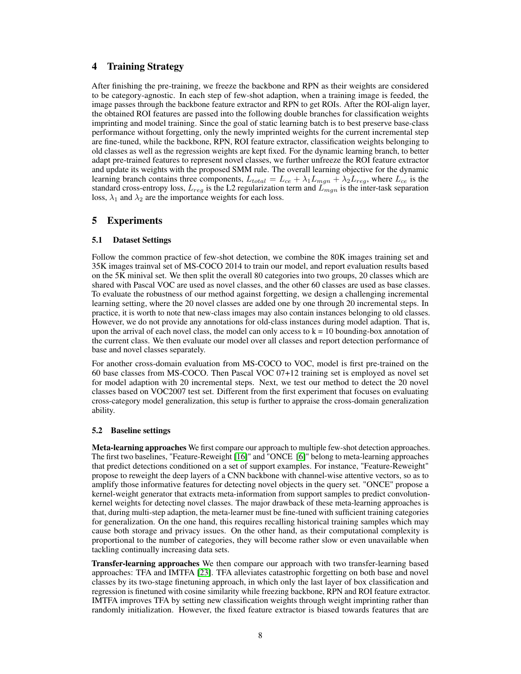# 4 Training Strategy

After finishing the pre-training, we freeze the backbone and RPN as their weights are considered to be category-agnostic. In each step of few-shot adaption, when a training image is feeded, the image passes through the backbone feature extractor and RPN to get ROIs. After the ROI-align layer, the obtained ROI features are passed into the following double branches for classification weights imprinting and model training. Since the goal of static learning batch is to best preserve base-class performance without forgetting, only the newly imprinted weights for the current incremental step are fine-tuned, while the backbone, RPN, ROI feature extractor, classification weights belonging to old classes as well as the regression weights are kept fixed. For the dynamic learning branch, to better adapt pre-trained features to represent novel classes, we further unfreeze the ROI feature extractor and update its weights with the proposed SMM rule. The overall learning objective for the dynamic learning branch contains three components,  $L_{total} = L_{ce} + \lambda_1 L_{mgn} + \lambda_2 L_{reg}$ , where  $L_{ce}$  is the standard cross-entropy loss,  $L_{reg}$  is the L2 regularization term and  $L_{mgn}$  is the inter-task separation loss,  $\lambda_1$  and  $\lambda_2$  are the importance weights for each loss.

## 5 Experiments

## 5.1 Dataset Settings

Follow the common practice of few-shot detection, we combine the 80K images training set and 35K images trainval set of MS-COCO 2014 to train our model, and report evaluation results based on the 5K minival set. We then split the overall 80 categories into two groups, 20 classes which are shared with Pascal VOC are used as novel classes, and the other 60 classes are used as base classes. To evaluate the robustness of our method against forgetting, we design a challenging incremental learning setting, where the 20 novel classes are added one by one through 20 incremental steps. In practice, it is worth to note that new-class images may also contain instances belonging to old classes. However, we do not provide any annotations for old-class instances during model adaption. That is, upon the arrival of each novel class, the model can only access to  $k = 10$  bounding-box annotation of the current class. We then evaluate our model over all classes and report detection performance of base and novel classes separately.

For another cross-domain evaluation from MS-COCO to VOC, model is first pre-trained on the 60 base classes from MS-COCO. Then Pascal VOC 07+12 training set is employed as novel set for model adaption with 20 incremental steps. Next, we test our method to detect the 20 novel classes based on VOC2007 test set. Different from the first experiment that focuses on evaluating cross-category model generalization, this setup is further to appraise the cross-domain generalization ability.

## 5.2 Baseline settings

Meta-learning approaches We first compare our approach to multiple few-shot detection approaches. The first two baselines, "Feature-Reweight [\[16\]](#page-10-13)" and "ONCE [\[6\]](#page-10-3)" belong to meta-learning approaches that predict detections conditioned on a set of support examples. For instance, "Feature-Reweight" propose to reweight the deep layers of a CNN backbone with channel-wise attentive vectors, so as to amplify those informative features for detecting novel objects in the query set. "ONCE" propose a kernel-weight generator that extracts meta-information from support samples to predict convolutionkernel weights for detecting novel classes. The major drawback of these meta-learning approaches is that, during multi-step adaption, the meta-learner must be fine-tuned with sufficient training categories for generalization. On the one hand, this requires recalling historical training samples which may cause both storage and privacy issues. On the other hand, as their computational complexity is proportional to the number of categories, they will become rather slow or even unavailable when tackling continually increasing data sets.

Transfer-learning approaches We then compare our approach with two transfer-learning based approaches: TFA and IMTFA [\[23\]](#page-11-1). TFA alleviates catastrophic forgetting on both base and novel classes by its two-stage finetuning approach, in which only the last layer of box classification and regression is finetuned with cosine similarity while freezing backbone, RPN and ROI feature extractor. IMTFA improves TFA by setting new classification weights through weight imprinting rather than randomly initialization. However, the fixed feature extractor is biased towards features that are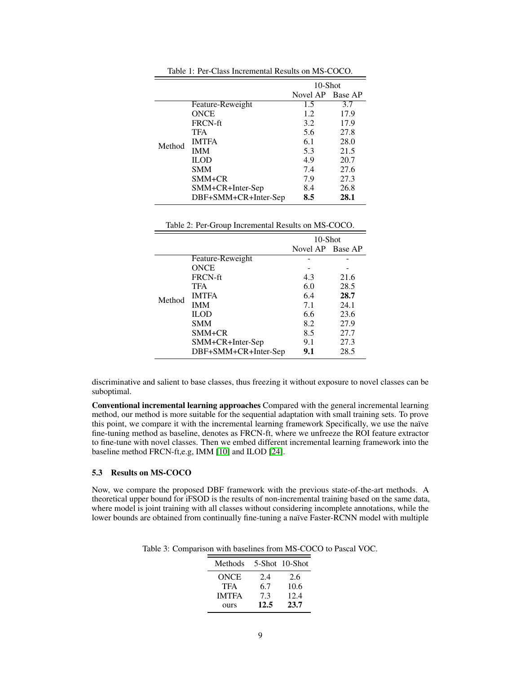|        |                      | 10-Shot          |      |
|--------|----------------------|------------------|------|
|        |                      | Novel AP Base AP |      |
| Method | Feature-Reweight     | 1.5              | 3.7  |
|        | <b>ONCE</b>          | 1.2.             | 17.9 |
|        | <b>FRCN-ft</b>       | 3.2              | 17.9 |
|        | <b>TFA</b>           | 5.6              | 27.8 |
|        | <b>IMTFA</b>         | 6.1              | 28.0 |
|        | <b>IMM</b>           | 5.3              | 21.5 |
|        | <b>ILOD</b>          | 4.9              | 20.7 |
|        | <b>SMM</b>           | 7.4              | 27.6 |
|        | SMM+CR               | 7.9              | 27.3 |
|        | SMM+CR+Inter-Sep     | 8.4              | 26.8 |
|        | DBF+SMM+CR+Inter-Sep | 8.5              | 28.1 |

Table 1: Per-Class Incremental Results on MS-COCO.

|        |                      | $10$ -Shot       |      |
|--------|----------------------|------------------|------|
|        |                      | Novel AP Base AP |      |
| Method | Feature-Reweight     |                  |      |
|        | <b>ONCE</b>          |                  |      |
|        | <b>FRCN-ft</b>       | 4.3              | 21.6 |
|        | TFA                  | 6.0              | 28.5 |
|        | <b>IMTFA</b>         | 6.4              | 28.7 |
|        | <b>IMM</b>           | 7.1              | 24.1 |
|        | <b>ILOD</b>          | 6.6              | 23.6 |
|        | <b>SMM</b>           | 8.2              | 27.9 |
|        | SMM+CR               | 8.5              | 27.7 |
|        | SMM+CR+Inter-Sep     | 9.1              | 27.3 |
|        | DBF+SMM+CR+Inter-Sep | 9.1              | 28.5 |

discriminative and salient to base classes, thus freezing it without exposure to novel classes can be suboptimal.

Conventional incremental learning approaches Compared with the general incremental learning method, our method is more suitable for the sequential adaptation with small training sets. To prove this point, we compare it with the incremental learning framework Specifically, we use the naïve fine-tuning method as baseline, denotes as FRCN-ft, where we unfreeze the ROI feature extractor to fine-tune with novel classes. Then we embed different incremental learning framework into the baseline method FRCN-ft,e.g, IMM [\[10\]](#page-10-7) and ILOD [\[24\]](#page-11-2).

## 5.3 Results on MS-COCO

<span id="page-8-0"></span>Now, we compare the proposed DBF framework with the previous state-of-the-art methods. A theoretical upper bound for iFSOD is the results of non-incremental training based on the same data, where model is joint training with all classes without considering incomplete annotations, while the lower bounds are obtained from continually fine-tuning a naïve Faster-RCNN model with multiple

Table 3: Comparison with baselines from MS-COCO to Pascal VOC.

| Methods      |      | 5-Shot 10-Shot |
|--------------|------|----------------|
| <b>ONCE</b>  | 2.4  | 2.6            |
| TFA          | 6.7  | 10.6           |
| <b>IMTFA</b> | 7.3  | 12.4           |
| ours         | 12.5 | 23.7           |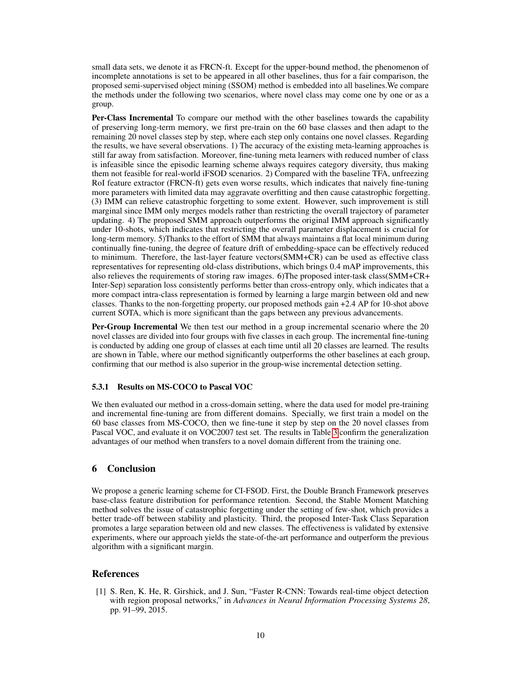small data sets, we denote it as FRCN-ft. Except for the upper-bound method, the phenomenon of incomplete annotations is set to be appeared in all other baselines, thus for a fair comparison, the proposed semi-supervised object mining (SSOM) method is embedded into all baselines.We compare the methods under the following two scenarios, where novel class may come one by one or as a group.

Per-Class Incremental To compare our method with the other baselines towards the capability of preserving long-term memory, we first pre-train on the 60 base classes and then adapt to the remaining 20 novel classes step by step, where each step only contains one novel classes. Regarding the results, we have several observations. 1) The accuracy of the existing meta-learning approaches is still far away from satisfaction. Moreover, fine-tuning meta learners with reduced number of class is infeasible since the episodic learning scheme always requires category diversity, thus making them not feasible for real-world iFSOD scenarios. 2) Compared with the baseline TFA, unfreezing RoI feature extractor (FRCN-ft) gets even worse results, which indicates that naively fine-tuning more parameters with limited data may aggravate overfitting and then cause catastrophic forgetting. (3) IMM can relieve catastrophic forgetting to some extent. However, such improvement is still marginal since IMM only merges models rather than restricting the overall trajectory of parameter updating. 4) The proposed SMM approach outperforms the original IMM approach significantly under 10-shots, which indicates that restricting the overall parameter displacement is crucial for long-term memory. 5)Thanks to the effort of SMM that always maintains a flat local minimum during continually fine-tuning, the degree of feature drift of embedding-space can be effectively reduced to minimum. Therefore, the last-layer feature vectors(SMM+CR) can be used as effective class representatives for representing old-class distributions, which brings 0.4 mAP improvements, this also relieves the requirements of storing raw images. 6)The proposed inter-task class(SMM+CR+ Inter-Sep) separation loss consistently performs better than cross-entropy only, which indicates that a more compact intra-class representation is formed by learning a large margin between old and new classes. Thanks to the non-forgetting property, our proposed methods gain +2.4 AP for 10-shot above current SOTA, which is more significant than the gaps between any previous advancements.

Per-Group Incremental We then test our method in a group incremental scenario where the 20 novel classes are divided into four groups with five classes in each group. The incremental fine-tuning is conducted by adding one group of classes at each time until all 20 classes are learned. The results are shown in Table, where our method significantly outperforms the other baselines at each group, confirming that our method is also superior in the group-wise incremental detection setting.

#### 5.3.1 Results on MS-COCO to Pascal VOC

We then evaluated our method in a cross-domain setting, where the data used for model pre-training and incremental fine-tuning are from different domains. Specially, we first train a model on the 60 base classes from MS-COCO, then we fine-tune it step by step on the 20 novel classes from Pascal VOC, and evaluate it on VOC2007 test set. The results in Table [3](#page-8-0) confirm the generalization advantages of our method when transfers to a novel domain different from the training one.

# 6 Conclusion

We propose a generic learning scheme for CI-FSOD. First, the Double Branch Framework preserves base-class feature distribution for performance retention. Second, the Stable Moment Matching method solves the issue of catastrophic forgetting under the setting of few-shot, which provides a better trade-off between stability and plasticity. Third, the proposed Inter-Task Class Separation promotes a large separation between old and new classes. The effectiveness is validated by extensive experiments, where our approach yields the state-of-the-art performance and outperform the previous algorithm with a significant margin.

## References

<span id="page-9-0"></span>[1] S. Ren, K. He, R. Girshick, and J. Sun, "Faster R-CNN: Towards real-time object detection with region proposal networks," in *Advances in Neural Information Processing Systems 28*, pp. 91–99, 2015.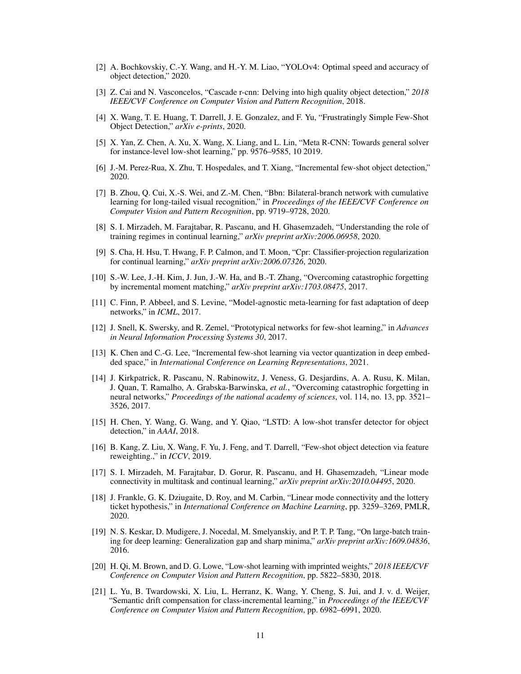- [2] A. Bochkovskiy, C.-Y. Wang, and H.-Y. M. Liao, "YOLOv4: Optimal speed and accuracy of object detection," 2020.
- <span id="page-10-0"></span>[3] Z. Cai and N. Vasconcelos, "Cascade r-cnn: Delving into high quality object detection," *2018 IEEE/CVF Conference on Computer Vision and Pattern Recognition*, 2018.
- <span id="page-10-1"></span>[4] X. Wang, T. E. Huang, T. Darrell, J. E. Gonzalez, and F. Yu, "Frustratingly Simple Few-Shot Object Detection," *arXiv e-prints*, 2020.
- <span id="page-10-2"></span>[5] X. Yan, Z. Chen, A. Xu, X. Wang, X. Liang, and L. Lin, "Meta R-CNN: Towards general solver for instance-level low-shot learning," pp. 9576–9585, 10 2019.
- <span id="page-10-3"></span>[6] J.-M. Perez-Rua, X. Zhu, T. Hospedales, and T. Xiang, "Incremental few-shot object detection," 2020.
- <span id="page-10-4"></span>[7] B. Zhou, Q. Cui, X.-S. Wei, and Z.-M. Chen, "Bbn: Bilateral-branch network with cumulative learning for long-tailed visual recognition," in *Proceedings of the IEEE/CVF Conference on Computer Vision and Pattern Recognition*, pp. 9719–9728, 2020.
- <span id="page-10-5"></span>[8] S. I. Mirzadeh, M. Farajtabar, R. Pascanu, and H. Ghasemzadeh, "Understanding the role of training regimes in continual learning," *arXiv preprint arXiv:2006.06958*, 2020.
- <span id="page-10-6"></span>[9] S. Cha, H. Hsu, T. Hwang, F. P. Calmon, and T. Moon, "Cpr: Classifier-projection regularization for continual learning," *arXiv preprint arXiv:2006.07326*, 2020.
- <span id="page-10-7"></span>[10] S.-W. Lee, J.-H. Kim, J. Jun, J.-W. Ha, and B.-T. Zhang, "Overcoming catastrophic forgetting by incremental moment matching," *arXiv preprint arXiv:1703.08475*, 2017.
- <span id="page-10-8"></span>[11] C. Finn, P. Abbeel, and S. Levine, "Model-agnostic meta-learning for fast adaptation of deep networks," in *ICML*, 2017.
- <span id="page-10-9"></span>[12] J. Snell, K. Swersky, and R. Zemel, "Prototypical networks for few-shot learning," in *Advances in Neural Information Processing Systems 30*, 2017.
- <span id="page-10-10"></span>[13] K. Chen and C.-G. Lee, "Incremental few-shot learning via vector quantization in deep embedded space," in *International Conference on Learning Representations*, 2021.
- <span id="page-10-11"></span>[14] J. Kirkpatrick, R. Pascanu, N. Rabinowitz, J. Veness, G. Desjardins, A. A. Rusu, K. Milan, J. Quan, T. Ramalho, A. Grabska-Barwinska, *et al.*, "Overcoming catastrophic forgetting in neural networks," *Proceedings of the national academy of sciences*, vol. 114, no. 13, pp. 3521– 3526, 2017.
- <span id="page-10-12"></span>[15] H. Chen, Y. Wang, G. Wang, and Y. Qiao, "LSTD: A low-shot transfer detector for object detection," in *AAAI*, 2018.
- <span id="page-10-13"></span>[16] B. Kang, Z. Liu, X. Wang, F. Yu, J. Feng, and T. Darrell, "Few-shot object detection via feature reweighting.," in *ICCV*, 2019.
- <span id="page-10-14"></span>[17] S. I. Mirzadeh, M. Farajtabar, D. Gorur, R. Pascanu, and H. Ghasemzadeh, "Linear mode connectivity in multitask and continual learning," *arXiv preprint arXiv:2010.04495*, 2020.
- <span id="page-10-15"></span>[18] J. Frankle, G. K. Dziugaite, D. Roy, and M. Carbin, "Linear mode connectivity and the lottery ticket hypothesis," in *International Conference on Machine Learning*, pp. 3259–3269, PMLR, 2020.
- <span id="page-10-16"></span>[19] N. S. Keskar, D. Mudigere, J. Nocedal, M. Smelyanskiy, and P. T. P. Tang, "On large-batch training for deep learning: Generalization gap and sharp minima," *arXiv preprint arXiv:1609.04836*, 2016.
- <span id="page-10-17"></span>[20] H. Qi, M. Brown, and D. G. Lowe, "Low-shot learning with imprinted weights," *2018 IEEE/CVF Conference on Computer Vision and Pattern Recognition*, pp. 5822–5830, 2018.
- <span id="page-10-18"></span>[21] L. Yu, B. Twardowski, X. Liu, L. Herranz, K. Wang, Y. Cheng, S. Jui, and J. v. d. Weijer, "Semantic drift compensation for class-incremental learning," in *Proceedings of the IEEE/CVF Conference on Computer Vision and Pattern Recognition*, pp. 6982–6991, 2020.